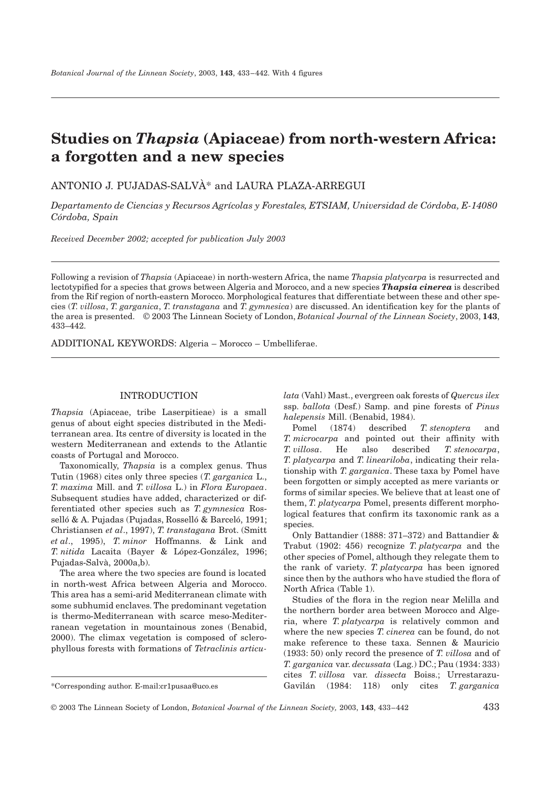# **Studies on** *Thapsia* **(Apiaceae) from north-western Africa: a forgotten and a new species**

ANTONIO J. PUJADAS-SALVÀ\* and LAURA PLAZA-ARREGUI

*Departamento de Ciencias y Recursos Agrícolas y Forestales, ETSIAM, Universidad de Córdoba, E-14080 Córdoba, Spain*

*Received December 2002; accepted for publication July 2003*

Following a revision of *Thapsia* (Apiaceae) in north-western Africa, the name *Thapsia platycarpa* is resurrected and lectotypified for a species that grows between Algeria and Morocco, and a new species *Thapsia cinerea* is described from the Rif region of north-eastern Morocco. Morphological features that differentiate between these and other species (*T. villosa*, *T. garganica*, *T. transtagana* and *T. gymnesica*) are discussed. An identification key for the plants of the area is presented. © 2003 The Linnean Society of London, *Botanical Journal of the Linnean Society*, 2003, **143**, 433–442.

ADDITIONAL KEYWORDS: Algeria – Morocco – Umbelliferae.

# INTRODUCTION

*Thapsia* (Apiaceae, tribe Laserpitieae) is a small genus of about eight species distributed in the Mediterranean area. Its centre of diversity is located in the western Mediterranean and extends to the Atlantic coasts of Portugal and Morocco.

Taxonomically, *Thapsia* is a complex genus. Thus Tutin (1968) cites only three species (*T. garganica* L., *T. maxima* Mill. and *T. villosa* L.) in *Flora Europaea*. Subsequent studies have added, characterized or differentiated other species such as *T. gymnesica* Rosselló & A. Pujadas (Pujadas, Rosselló & Barceló, 1991; Christiansen *et al*., 1997), *T. transtagana* Brot. (Smitt *et al*., 1995), *T. minor* Hoffmanns. & Link and *T. nitida* Lacaita (Bayer & López-González, 1996; Pujadas-Salvà, 2000a,b).

The area where the two species are found is located in north-west Africa between Algeria and Morocco. This area has a semi-arid Mediterranean climate with some subhumid enclaves. The predominant vegetation is thermo-Mediterranean with scarce meso-Mediterranean vegetation in mountainous zones (Benabid, 2000). The climax vegetation is composed of sclerophyllous forests with formations of *Tetraclinis articu-* *lata* (Vahl) Mast., evergreen oak forests of *Quercus ilex* ssp. *ballota* (Desf.) Samp. and pine forests of *Pinus halepensis* Mill. (Benabid, 1984).

Pomel (1874) described *T. stenoptera* and *T. microcarpa* and pointed out their affinity with *T. villosa*. He also described *T. stenocarpa*, *T. platycarpa* and *T. lineariloba*, indicating their relationship with *T. garganica*. These taxa by Pomel have been forgotten or simply accepted as mere variants or forms of similar species. We believe that at least one of them, *T. platycarpa* Pomel, presents different morphological features that confirm its taxonomic rank as a species.

Only Battandier (1888: 371–372) and Battandier & Trabut (1902: 456) recognize *T. platycarpa* and the other species of Pomel, although they relegate them to the rank of variety*. T. platycarpa* has been ignored since then by the authors who have studied the flora of North Africa (Table 1).

Studies of the flora in the region near Melilla and the northern border area between Morocco and Algeria, where *T. platycarpa* is relatively common and where the new species *T. cinerea* can be found, do not make reference to these taxa. Sennen & Mauricio (1933: 50) only record the presence of *T. villosa* and of *T. garganica* var. *decussata* (Lag.) DC.; Pau (1934: 333) cites *T. villosa* var. *dissecta* Boiss.; Urrestarazu-Gavilán (1984: 118) only cites *T. garganica*

<sup>\*</sup>Corresponding author. E-mail:cr1pusaa@uco.es

<sup>© 2003</sup> The Linnean Society of London, *Botanical Journal of the Linnean Society,* 2003, **143**, 433–442 433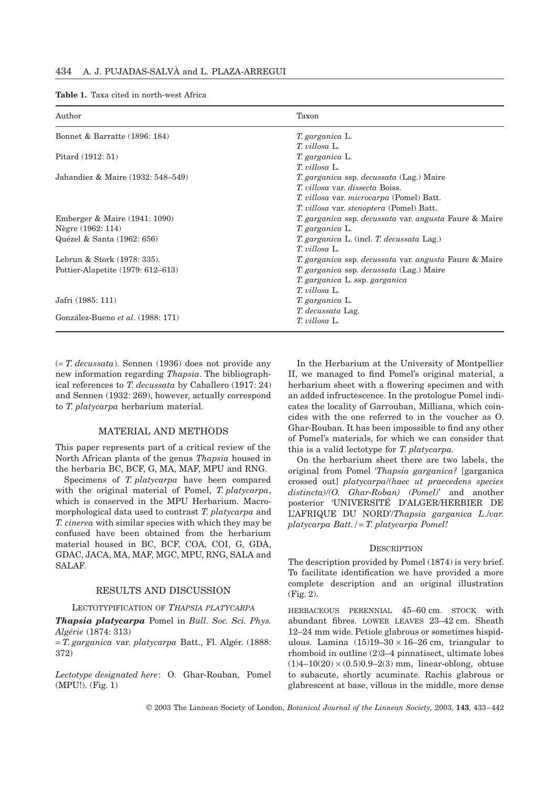|  |  | <b>Table 1.</b> Taxa cited in north-west Africa |  |
|--|--|-------------------------------------------------|--|
|  |  |                                                 |  |

| Author                            | Taxon                                                                       |
|-----------------------------------|-----------------------------------------------------------------------------|
| Bonnet & Barratte (1896: 184)     | T. garganica L.                                                             |
|                                   | T. villosa L.                                                               |
| Pitard (1912: 51)                 | T. garganica L.                                                             |
|                                   | T. villosa L.                                                               |
| Jahandiez & Maire (1932: 548–549) | T. garganica ssp. decussata (Lag.) Maire                                    |
|                                   | <i>T. villosa var. dissecta Boiss.</i>                                      |
|                                   | T. villosa var. microcarpa (Pomel) Batt.                                    |
|                                   | T. villosa var. stenoptera (Pomel) Batt.                                    |
| Emberger & Maire (1941: 1090)     | T. garganica ssp. decussata var. angusta Faure & Maire                      |
| Nègre (1962: 114)                 | T. garganica L.                                                             |
| Quézel & Santa (1962: 656)        | <i>T. garganica L.</i> (incl. <i>T. decussata Lag.</i> )                    |
|                                   | T. villosa L.                                                               |
| Lebrun & Stork (1978: 335).       | <i>T. garganica</i> ssp. <i>decussata</i> var. <i>angusta</i> Faure & Maire |
| Pottier-Alapetite (1979: 612–613) | T. garganica ssp. decussata (Lag.) Maire                                    |
|                                   | T. garganica L. ssp. garganica                                              |
|                                   | T. villosa L.                                                               |
| Jafri (1985: 111)                 | T. garganica L.                                                             |
|                                   | T. decussata Lag.                                                           |
| González-Bueno et al. (1988: 171) | T. villosa L.                                                               |
|                                   |                                                                             |

(= *T. decussata*). Sennen (1936) does not provide any new information regarding *Thapsia*. The bibliographical references to *T. decussata* by Caballero (1917: 24) and Sennen (1932: 269), however, actually correspond to *T. platycarpa* herbarium material.

## MATERIAL AND METHODS

This paper represents part of a critical review of the North African plants of the genus *Thapsia* housed in the herbaria BC, BCF, G, MA, MAF, MPU and RNG.

Specimens of *T. platycarpa* have been compared with the original material of Pomel, *T. platycarpa*, which is conserved in the MPU Herbarium. Macromorphological data used to contrast *T. platycarpa* and *T. cinerea* with similar species with which they may be confused have been obtained from the herbarium material housed in BC, BCF, COA, COI, G, GDA, GDAC, JACA, MA, MAF, MGC, MPU, RNG, SALA and SALAF.

#### RESULTS AND DISCUSSION

#### LECTOTYPIFICATION OF *THAPSIA PLATYCARPA*

*Thapsia platycarpa* Pomel in *Bull. Soc. Sci. Phys. Algérie* (1874: 313)

= *T. garganica* var. *platycarpa* Batt., Fl. Algér. (1888: 372)

*Lectotype designated here*: O. Ghar-Rouban, Pomel (MPU!). (Fig. 1)

In the Herbarium at the University of Montpellier II, we managed to find Pomel's original material, a herbarium sheet with a flowering specimen and with an added infructescence. In the protologue Pomel indicates the locality of Garrouban, Milliana, which coincides with the one referred to in the voucher as O. Ghar-Rouban. It has been impossible to find any other of Pomel's materials, for which we can consider that this is a valid lectotype for *T. platycarpa.*

On the herbarium sheet there are two labels, the original from Pomel '*Thapsia garganica?* [garganica crossed out] *platycarpa*/*(haec ut praecedens species distincta)*/*(O. Ghar-Roban) (Pomel)*' and another posterior 'UNIVERSITÉ D'ALGER/HERBIER DE L'AFRIQUE DU NORD'/*Thapsia garganica L*./*var. platycarpa Batt./*= *T. platycarpa Pomel!*

#### **DESCRIPTION**

The description provided by Pomel (1874) is very brief. To facilitate identification we have provided a more complete description and an original illustration (Fig. 2).

HERBACEOUS PERENNIAL 45–60 cm. STOCK with abundant fibres. LOWER LEAVES 23–42 cm. Sheath 12–24 mm wide. Petiole glabrous or sometimes hispidulous. Lamina  $(15)19-30 \times 16-26$  cm, triangular to rhomboid in outline (2)3–4 pinnatisect, ultimate lobes  $(1)4-10(20) \times (0.5)0.9-2(3)$  mm, linear-oblong, obtuse to subacute, shortly acuminate. Rachis glabrous or glabrescent at base, villous in the middle, more dense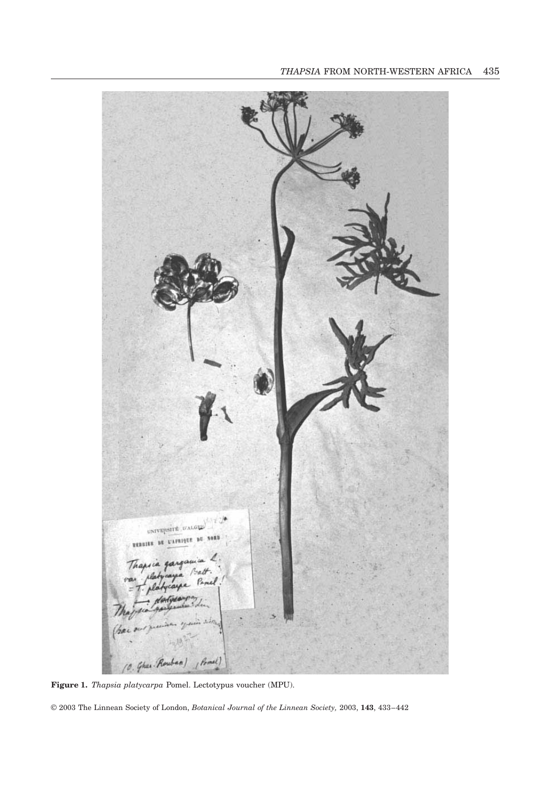

**Figure 1.** *Thapsia platycarpa* Pomel. Lectotypus voucher (MPU).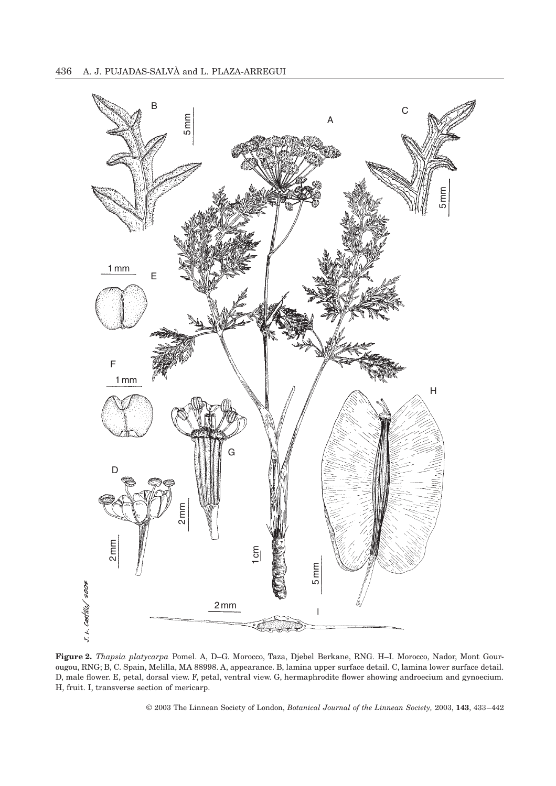

**Figure 2.** *Thapsia platycarpa* Pomel. A, D–G. Morocco, Taza, Djebel Berkane, RNG. H–I. Morocco, Nador, Mont Gourougou, RNG; B, C. Spain, Melilla, MA 88998. A, appearance. B, lamina upper surface detail. C, lamina lower surface detail. D, male flower. E, petal, dorsal view. F, petal, ventral view. G, hermaphrodite flower showing androecium and gynoecium. H, fruit. I, transverse section of mericarp.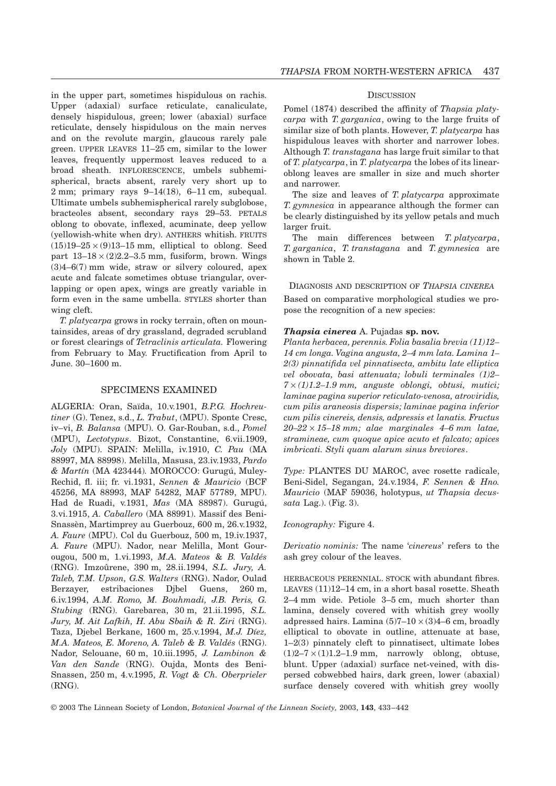in the upper part, sometimes hispidulous on rachis. Upper (adaxial) surface reticulate, canaliculate, densely hispidulous, green; lower (abaxial) surface reticulate, densely hispidulous on the main nerves and on the revolute margin, glaucous rarely pale green. UPPER LEAVES 11–25 cm, similar to the lower leaves, frequently uppermost leaves reduced to a broad sheath. INFLORESCENCE, umbels subhemispherical, bracts absent, rarely very short up to 2 mm; primary rays 9–14(18), 6–11 cm, subequal. Ultimate umbels subhemispherical rarely subglobose, bracteoles absent, secondary rays 29–53. PETALS oblong to obovate, inflexed, acuminate, deep yellow (yellowish-white when dry). ANTHERS whitish. FRUITS  $(15)19-25 \times (9)13-15$  mm, elliptical to oblong. Seed part  $13-18 \times (2)2.2-3.5$  mm, fusiform, brown. Wings (3)4–6(7) mm wide, straw or silvery coloured, apex acute and falcate sometimes obtuse triangular, overlapping or open apex, wings are greatly variable in form even in the same umbella. STYLES shorter than wing cleft.

*T. platycarpa* grows in rocky terrain, often on mountainsides, areas of dry grassland, degraded scrubland or forest clearings of *Tetraclinis articulata.* Flowering from February to May. Fructification from April to June. 30–1600 m.

## SPECIMENS EXAMINED

ALGERIA: Oran, Saïda, 10.v.1901, *B.P.G. Hochreutiner* (G). Tenez, s.d., *L. Trabut*, (MPU). Sponte Cresc, iv–vi, *B. Balansa* (MPU). O. Gar-Rouban, s.d., *Pomel* (MPU), *Lectotypus*. Bizot, Constantine, 6.vii.1909, *Joly* (MPU). SPAIN: Melilla, iv.1910, *C. Pau* (MA 88997, MA 88998). Melilla, Masusa, 23.iv.1933, *Pardo & Martín* (MA 423444)*.* MOROCCO: Gurugú, Muley-Rechid, fl. iii; fr. vi.1931, *Sennen & Mauricio* (BCF 45256, MA 88993, MAF 54282, MAF 57789, MPU). Had de Ruadi, v.1931, *Mas* (MA 88987). Gurugú, 3.vi.1915, *A. Caballero* (MA 88991). Massif des Beni-Snassèn, Martimprey au Guerbouz, 600 m, 26.v.1932, *A. Faure* (MPU). Col du Guerbouz, 500 m, 19.iv.1937, *A. Faure* (MPU). Nador, near Melilla, Mont Gourougou, 500 m, 1.vi.1993, *M.A. Mateos* & *B. Valdés* (RNG). Imzoûrene, 390 m, 28.ii.1994, *S.L. Jury, A. Taleb, T.M. Upson, G.S. Walters* (RNG). Nador, Oulad Berzayer, estribaciones Djbel Guens, 260 m, 6.iv.1994, *A.M. Romo, M. Bouhmadi, J.B. Peris, G. Stubing* (RNG). Garebarea, 30 m, 21.ii.1995, *S.L. Jury, M. Ait Lafkih, H. Abu Sbaih & R. Ziri* (RNG). Taza, Djebel Berkane, 1600 m, 25.v.1994, *M.J. Díez, M.A. Mateos, E. Moreno, A. Taleb & B. Valdés* (RNG). Nador, Selouane, 60 m, 10.iii.1995, *J. Lambinon & Van den Sande* (RNG). Oujda, Monts des Beni-Snassen, 250 m, 4.v.1995, *R. Vogt & Ch. Oberprieler* (RNG).

#### **DISCUSSION**

Pomel (1874) described the affinity of *Thapsia platycarpa* with *T. garganica*, owing to the large fruits of similar size of both plants. However, *T. platycarpa* has hispidulous leaves with shorter and narrower lobes. Although *T. transtagana* has large fruit similar to that of *T. platycarpa*, in *T. platycarpa* the lobes of its linearoblong leaves are smaller in size and much shorter and narrower.

The size and leaves of *T. platycarpa* approximate *T. gymnesica* in appearance although the former can be clearly distinguished by its yellow petals and much larger fruit.

The main differences between *T. platycarpa*, *T. garganica*, *T. transtagana* and *T. gymnesica* are shown in Table 2.

## DIAGNOSIS AND DESCRIPTION OF *THAPSIA CINEREA*

Based on comparative morphological studies we propose the recognition of a new species:

### *Thapsia cinerea* A. Pujadas **sp. nov.**

*Planta herbacea, perennis. Folia basalia brevia (11)12– 14 cm longa. Vagina angusta, 2–4 mm lata. Lamina 1– 2(3) pinnatifida vel pinnatisecta, ambitu late elliptica vel obovata, basi attenuata; lobuli terminales (1)2– 7* ¥ *(1)1.2–1.9 mm, anguste oblongi, obtusi, mutici; laminae pagina superior reticulato-venosa, atroviridis, cum pilis araneosis dispersis; laminae pagina inferior cum pilis cinereis, densis, adpressis et lanatis. Fructus 20–22* ¥ *15–18 mm; alae marginales 4–6 mm latae, stramineae, cum quoque apice acuto et falcato; apices imbricati. Styli quam alarum sinus breviores*.

*Type:* PLANTES DU MAROC, avec rosette radicale, Beni-Sidel, Segangan, 24.v.1934, *F. Sennen & Hno. Mauricio* (MAF 59036, holotypus, *ut Thapsia decussata* Lag.). (Fig. 3).

#### *Iconography:* Figure 4.

*Derivatio nominis:* The name '*cinereus*' refers to the ash grey colour of the leaves.

HERBACEOUS PERENNIAL. STOCK with abundant fibres. LEAVES (11)12–14 cm, in a short basal rosette. Sheath 2–4 mm wide. Petiole 3–5 cm, much shorter than lamina, densely covered with whitish grey woolly adpressed hairs. Lamina  $(5)7-10 \times (3)4-6$  cm, broadly elliptical to obovate in outline, attenuate at base, 1–2(3) pinnately cleft to pinnatisect, ultimate lobes  $(1)2-7 \times (1)1.2-1.9$  mm, narrowly oblong, obtuse, blunt. Upper (adaxial) surface net-veined, with dispersed cobwebbed hairs, dark green, lower (abaxial) surface densely covered with whitish grey woolly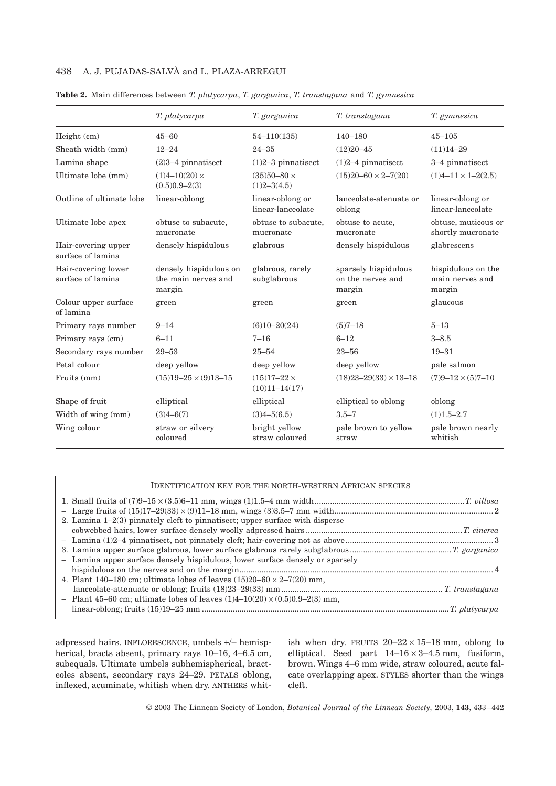| 438 A. J. PUJADAS-SALVA and L. PLAZA-ARREGUI |  |
|----------------------------------------------|--|
|----------------------------------------------|--|

|                                          | T. platycarpa                                           | T. garganica                              | T. transtagana                                      | T. gymnesica                                    |
|------------------------------------------|---------------------------------------------------------|-------------------------------------------|-----------------------------------------------------|-------------------------------------------------|
| Height (cm)                              | $45 - 60$                                               | $54 - 110(135)$                           | $140 - 180$                                         | $45 - 105$                                      |
| Sheath width (mm)                        | $12 - 24$                                               | $24 - 35$                                 | $(12)20 - 45$                                       | $(11)14 - 29$                                   |
| Lamina shape                             | $(2)3-4$ pinnatisect                                    | $(1)2-3$ pinnatisect                      | $(1)2-4$ pinnatisect                                | 3–4 pinnatisect                                 |
| Ultimate lobe (mm)                       | $(1)4 - 10(20) \times$<br>$(0.5)0.9 - 2(3)$             | $(35)50 - 80 \times$<br>$(1)2 - 3(4.5)$   | $(15)20 - 60 \times 2 - 7(20)$                      | $(1)4-11 \times 1-2(2.5)$                       |
| Outline of ultimate lobe                 | linear-oblong                                           | linear-oblong or<br>linear-lanceolate     | lanceolate-atenuate or<br>oblong                    | linear-oblong or<br>linear-lanceolate           |
| Ultimate lobe apex                       | obtuse to subacute,<br>mucronate                        | obtuse to subacute,<br>mucronate          | obtuse to acute,<br>mucronate                       | obtuse, muticous or<br>shortly mucronate        |
| Hair-covering upper<br>surface of lamina | densely hispidulous                                     | glabrous                                  | densely hispidulous                                 | glabrescens                                     |
| Hair-covering lower<br>surface of lamina | densely hispidulous on<br>the main nerves and<br>margin | glabrous, rarely<br>subglabrous           | sparsely hispidulous<br>on the nerves and<br>margin | hispidulous on the<br>main nerves and<br>margin |
| Colour upper surface<br>of lamina        | green                                                   | green                                     | green                                               | glaucous                                        |
| Primary rays number                      | $9 - 14$                                                | $(6)10 - 20(24)$                          | $(5)7 - 18$                                         | $5 - 13$                                        |
| Primary rays (cm)                        | $6 - 11$                                                | $7 - 16$                                  | $6 - 12$                                            | $3 - 8.5$                                       |
| Secondary rays number                    | $29 - 53$                                               | $25 - 54$                                 | $23 - 56$                                           | $19 - 31$                                       |
| Petal colour                             | deep yellow                                             | deep yellow                               | deep yellow                                         | pale salmon                                     |
| Fruits (mm)                              | $(15)19 - 25 \times (9)13 - 15$                         | $(15)17 - 22 \times$<br>$(10)11 - 14(17)$ | $(18)23 - 29(33) \times 13 - 18$                    | $(7)9-12\times(5)7-10$                          |
| Shape of fruit                           | elliptical                                              | elliptical                                | elliptical to oblong                                | oblong                                          |
| Width of wing (mm)                       | $(3)4 - 6(7)$                                           | $(3)4 - 5(6.5)$                           | $3.5 - 7$                                           | $(1)1.5 - 2.7$                                  |
| Wing colour                              | straw or silvery<br>coloured                            | bright yellow<br>straw coloured           | pale brown to yellow<br>straw                       | pale brown nearly<br>whitish                    |

**Table 2.** Main differences between *T. platycarpa*, *T. garganica*, *T. transtagana* and *T. gymnesica*

| <b>IDENTIFICATION KEY FOR THE NORTH-WESTERN AFRICAN SPECIES</b>                                                                                               |
|---------------------------------------------------------------------------------------------------------------------------------------------------------------|
| 2. Lamina $1-2(3)$ pinnately cleft to pinnatisect; upper surface with disperse                                                                                |
|                                                                                                                                                               |
| - Lamina upper surface densely hispidulous, lower surface densely or sparsely<br>4. Plant 140–180 cm; ultimate lobes of leaves $(15)20-60 \times 2-7(20)$ mm, |
| - Plant 45–60 cm; ultimate lobes of leaves $(1)4-10(20) \times (0.5)0.9-2(3)$ mm,                                                                             |

adpressed hairs. INFLORESCENCE, umbels +/– hemispherical, bracts absent, primary rays 10–16, 4–6.5 cm, subequals. Ultimate umbels subhemispherical, bracteoles absent, secondary rays 24–29. PETALS oblong, inflexed, acuminate, whitish when dry. ANTHERS whitish when dry. FRUITS  $20-22 \times 15-18$  mm, oblong to elliptical. Seed part  $14-16 \times 3-4.5$  mm, fusiform, brown. Wings 4–6 mm wide, straw coloured, acute falcate overlapping apex. STYLES shorter than the wings cleft.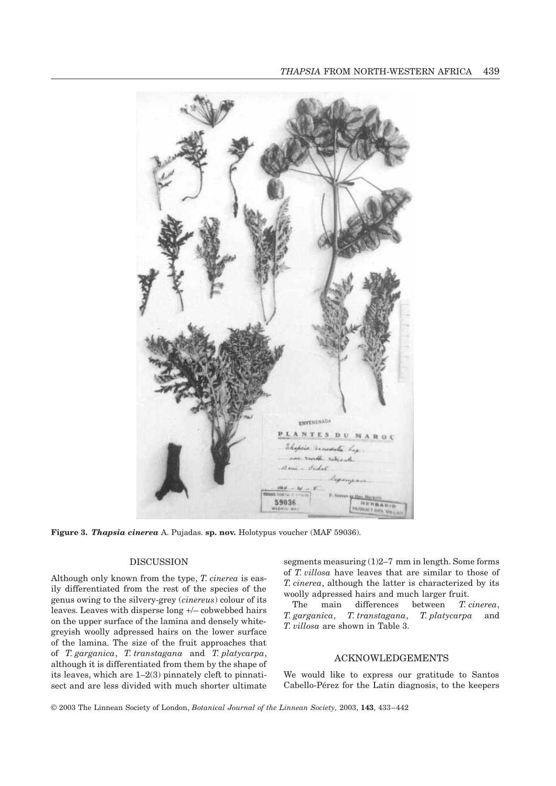

**Figure 3.** *Thapsia cinerea* A. Pujadas. **sp. nov.** Holotypus voucher (MAF 59036).

### DISCUSSION

Although only known from the type, *T. cinerea* is easily differentiated from the rest of the species of the genus owing to the silvery-grey (*cinereus*) colour of its leaves. Leaves with disperse long +/– cobwebbed hairs on the upper surface of the lamina and densely whitegreyish woolly adpressed hairs on the lower surface of the lamina. The size of the fruit approaches that of *T. garganica*, *T. transtagana* and *T. platycarpa*, although it is differentiated from them by the shape of its leaves, which are 1–2(3) pinnately cleft to pinnatisect and are less divided with much shorter ultimate segments measuring (1)2–7 mm in length. Some forms of *T. villosa* have leaves that are similar to those of *T. cinerea*, although the latter is characterized by its woolly adpressed hairs and much larger fruit.

The main differences between *T. cinerea*, *T. garganica*, *T. transtagana*, *T. platycarpa* and *T. villosa* are shown in Table 3.

# ACKNOWLEDGEMENTS

We would like to express our gratitude to Santos Cabello-Pérez for the Latin diagnosis, to the keepers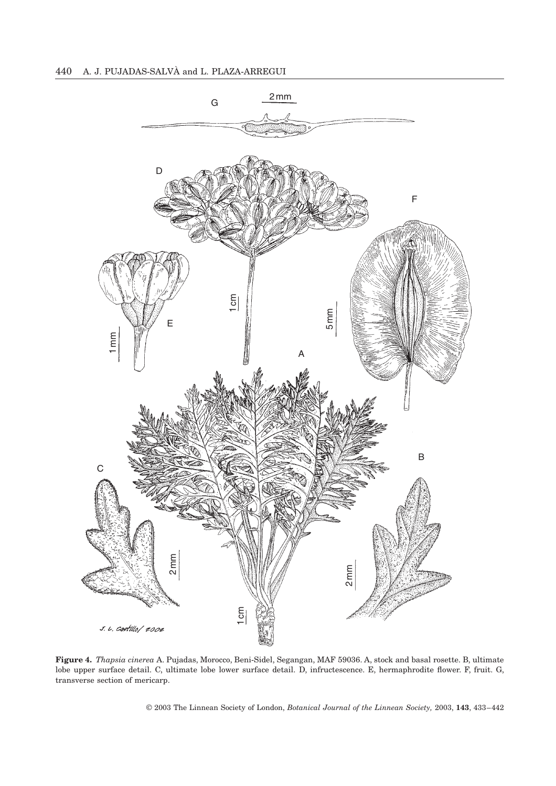

**Figure 4.** *Thapsia cinerea* A. Pujadas, Morocco, Beni-Sidel, Segangan, MAF 59036. A, stock and basal rosette. B, ultimate lobe upper surface detail. C, ultimate lobe lower surface detail. D, infructescence. E, hermaphrodite flower. F, fruit. G, transverse section of mericarp.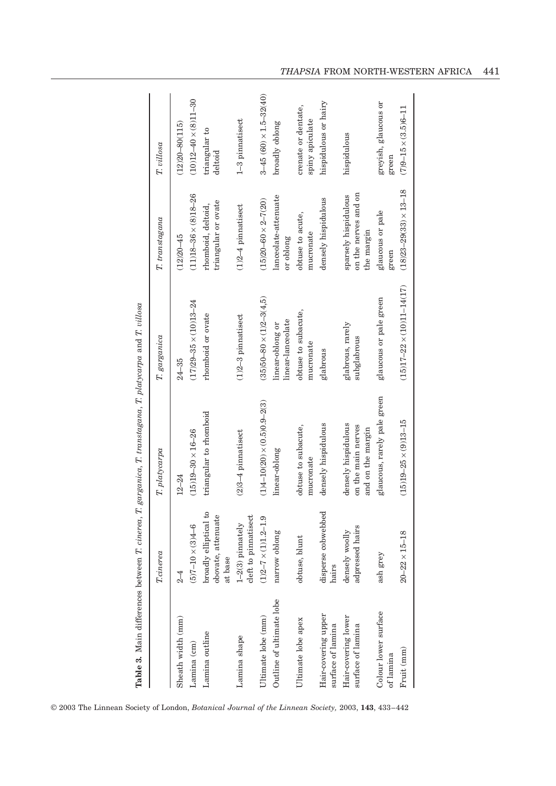|                                          | <b>T</b> .cinerea                                      | $T.$ $platycarpa$                                              | T. garganica                          | $T.$ transtagana                                           | T. villosa                             |
|------------------------------------------|--------------------------------------------------------|----------------------------------------------------------------|---------------------------------------|------------------------------------------------------------|----------------------------------------|
| Sheath width (mm)                        | $\frac{4}{3}$                                          | $12 - 24$                                                      | $24 - 35$                             | $(12)20 - 45$                                              | $(12)20 - 80(115)$                     |
| Lamina (cm)                              | $(5)7 - 10 \times (3)4 - 6$                            | $(15)19 - 30 \times 16 - 26$                                   | $(17)29 - 35 \times (10)13 - 24$      | $(11)18 - 36 \times (8)18 - 26$                            | $(10)12 - 40 \times (8)11 - 30$        |
| Lamina outline                           | broadly elliptical to<br>obovate, attenuate<br>at base | triangular to rhomboid                                         | rhomboid or ovate                     | triangular or ovate<br>rhomboid, deltoid,                  | triangular to<br>deltoid               |
| Lamina shape                             | cleft to pinnatisect<br>$1-2(3)$ pinnately             | $(2)3-4$ pinnatisect                                           | $(1)2-3$ pinnatisect                  | $(1)2-4$ pinnatisect                                       | 1-3 pinnatisect                        |
| Ultimate lobe (mm)                       | $(1)2 - 7 \times (1)1.2 - 1.9$                         | $(1)4 - 10(20) \times (0.5)0.9 - 2(3)$                         | $(35)50 - 80 \times (1)2 - 3(4,5)$    | $(15)20 - 60 \times 2 - 7(20)$                             | $3-45(60) \times 1.5-32(40)$           |
| Outline of ultimate lobe                 | narrow oblong                                          | linear-oblong                                                  | linear-lanceolate<br>linear-oblong or | lanceolate-attenuate<br>or oblong                          | broadly oblong                         |
| Ultimate lobe apex                       | obtuse, blunt                                          | obtuse to subacute,<br>mucronate                               | obtuse to subacute,<br>mucronate      | obtuse to acute,<br>mucronate                              | crenate or dentate,<br>spiny apiculate |
| Hair-covering upper<br>surface of lamina | disperse cobwebbed<br>hairs                            | densely hispidulous                                            | glabrous                              | densely hispidulous                                        | hispidulous or hairy                   |
| Hair-covering lower<br>surface of lamina | adpressed hairs<br>densely woolly                      | densely hispidulous<br>on the main nerves<br>and on the margin | glabrous, rarely<br>subglabrous       | on the nerves and on<br>sparsely hispidulous<br>the margin | hispidulous                            |
| Colour lower surface<br>of lamina        | ash grey                                               | glaucous, rarely pale green                                    | glaucous or pale green                | glaucous or pale<br>green                                  | greyish, glaucous or<br>green          |
| Fruit (mm)                               | $20 - 22 \times 15 - 18$                               | $(15)19 - 25 \times (9)13 - 15$                                | $(15)17 - 22 \times (10)11 - 14(17)$  | $(18)23 - 29(33) \times 13 - 18$                           | $(7)9 - 15 \times (3.5)6 - 11$         |

# *THAPSIA* FROM NORTH-WESTERN AFRICA 441